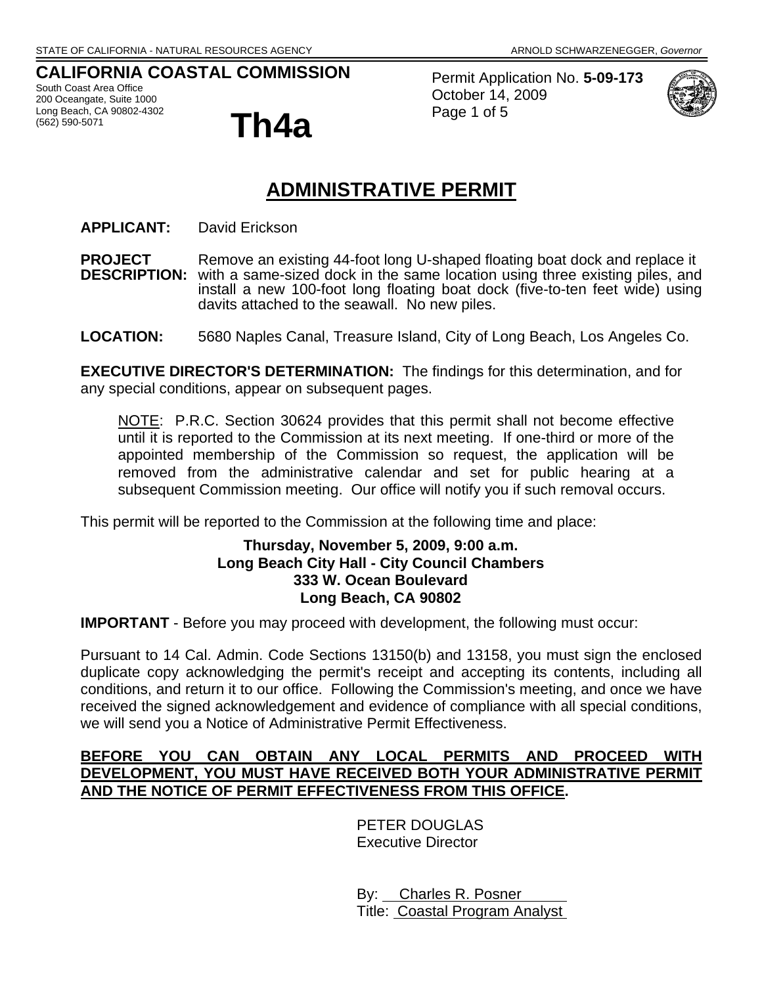## **CALIFORNIA COASTAL COMMISSION**

South Coast Area Office 200 Oceangate, Suite 1000 Long Beach, CA 90802-4302<br>(562) 590-5071



Permit Application No. **5-09-173** October 14, 2009 Page 1 of 5



# **ADMINISTRATIVE PERMIT**

**APPLICANT:** David Erickson

**PROJECT** Remove an existing 44-foot long U-shaped floating boat dock and replace it **DESCRIPTION:** with a same-sized dock in the same location using three existing piles, and install a new 100-foot long floating boat dock (five-to-ten feet wide) using davits attached to the seawall. No new piles.

**LOCATION:** 5680 Naples Canal, Treasure Island, City of Long Beach, Los Angeles Co.

**EXECUTIVE DIRECTOR'S DETERMINATION:** The findings for this determination, and for any special conditions, appear on subsequent pages.

NOTE: P.R.C. Section 30624 provides that this permit shall not become effective until it is reported to the Commission at its next meeting. If one-third or more of the appointed membership of the Commission so request, the application will be removed from the administrative calendar and set for public hearing at a subsequent Commission meeting. Our office will notify you if such removal occurs.

This permit will be reported to the Commission at the following time and place:

### **Thursday, November 5, 2009, 9:00 a.m. Long Beach City Hall - City Council Chambers 333 W. Ocean Boulevard Long Beach, CA 90802**

**IMPORTANT** - Before you may proceed with development, the following must occur:

Pursuant to 14 Cal. Admin. Code Sections 13150(b) and 13158, you must sign the enclosed duplicate copy acknowledging the permit's receipt and accepting its contents, including all conditions, and return it to our office. Following the Commission's meeting, and once we have received the signed acknowledgement and evidence of compliance with all special conditions, we will send you a Notice of Administrative Permit Effectiveness.

### **BEFORE YOU CAN OBTAIN ANY LOCAL PERMITS AND PROCEED WITH DEVELOPMENT, YOU MUST HAVE RECEIVED BOTH YOUR ADMINISTRATIVE PERMIT AND THE NOTICE OF PERMIT EFFECTIVENESS FROM THIS OFFICE.**

PETER DOUGLAS Executive Director

 By: Charles R. Posner Title: Coastal Program Analyst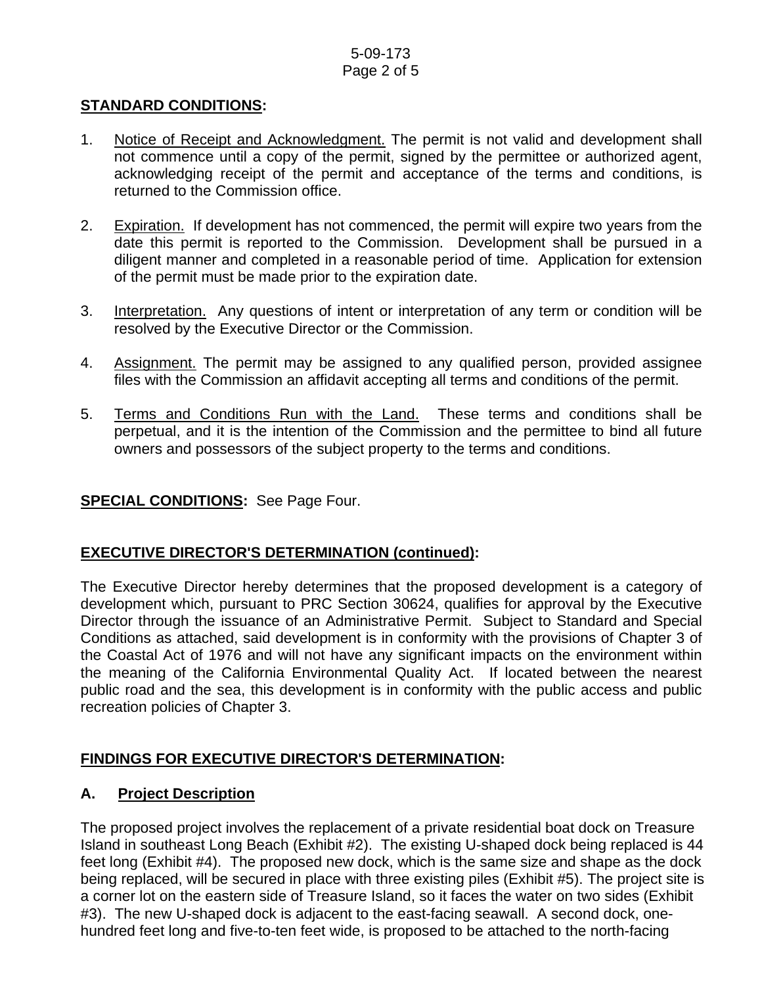### 5-09-173 Page 2 of 5

### **STANDARD CONDITIONS:**

- 1. Notice of Receipt and Acknowledgment. The permit is not valid and development shall not commence until a copy of the permit, signed by the permittee or authorized agent, acknowledging receipt of the permit and acceptance of the terms and conditions, is returned to the Commission office.
- 2. Expiration. If development has not commenced, the permit will expire two years from the date this permit is reported to the Commission. Development shall be pursued in a diligent manner and completed in a reasonable period of time. Application for extension of the permit must be made prior to the expiration date.
- 3. Interpretation. Any questions of intent or interpretation of any term or condition will be resolved by the Executive Director or the Commission.
- 4. Assignment. The permit may be assigned to any qualified person, provided assignee files with the Commission an affidavit accepting all terms and conditions of the permit.
- 5. Terms and Conditions Run with the Land. These terms and conditions shall be perpetual, and it is the intention of the Commission and the permittee to bind all future owners and possessors of the subject property to the terms and conditions.

### **SPECIAL CONDITIONS:** See Page Four.

## **EXECUTIVE DIRECTOR'S DETERMINATION (continued):**

The Executive Director hereby determines that the proposed development is a category of development which, pursuant to PRC Section 30624, qualifies for approval by the Executive Director through the issuance of an Administrative Permit. Subject to Standard and Special Conditions as attached, said development is in conformity with the provisions of Chapter 3 of the Coastal Act of 1976 and will not have any significant impacts on the environment within the meaning of the California Environmental Quality Act. If located between the nearest public road and the sea, this development is in conformity with the public access and public recreation policies of Chapter 3.

## **FINDINGS FOR EXECUTIVE DIRECTOR'S DETERMINATION:**

### **A. Project Description**

The proposed project involves the replacement of a private residential boat dock on Treasure Island in southeast Long Beach (Exhibit #2). The existing U-shaped dock being replaced is 44 feet long (Exhibit #4). The proposed new dock, which is the same size and shape as the dock being replaced, will be secured in place with three existing piles (Exhibit #5). The project site is a corner lot on the eastern side of Treasure Island, so it faces the water on two sides (Exhibit #3). The new U-shaped dock is adjacent to the east-facing seawall. A second dock, onehundred feet long and five-to-ten feet wide, is proposed to be attached to the north-facing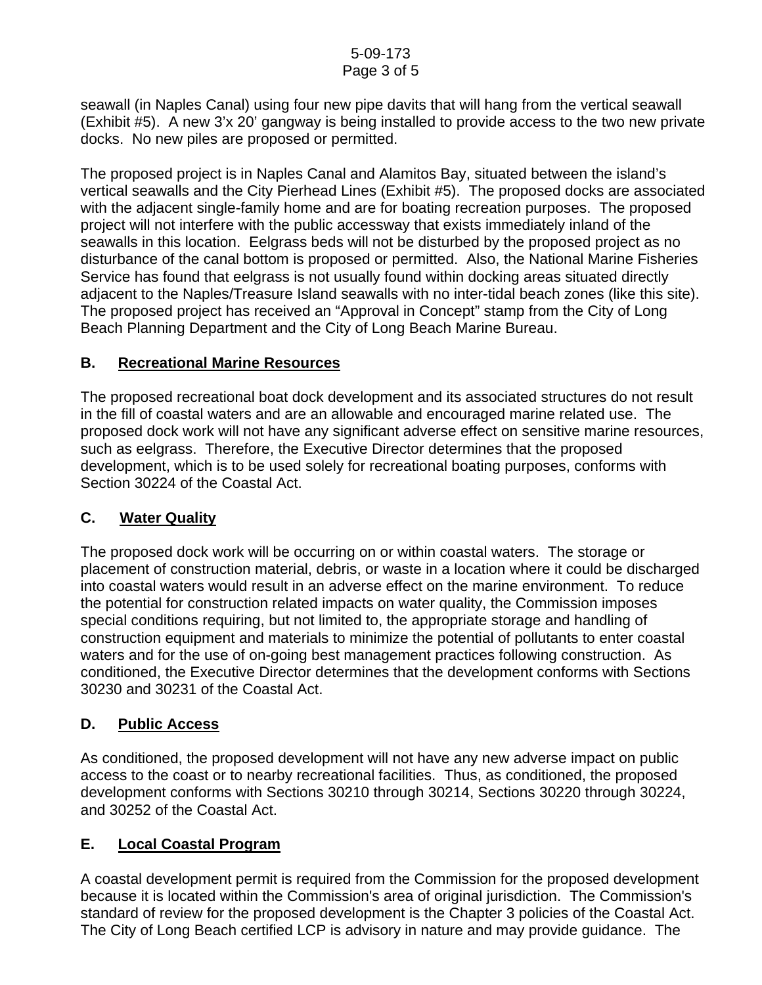seawall (in Naples Canal) using four new pipe davits that will hang from the vertical seawall (Exhibit #5). A new 3'x 20' gangway is being installed to provide access to the two new private docks. No new piles are proposed or permitted.

The proposed project is in Naples Canal and Alamitos Bay, situated between the island's vertical seawalls and the City Pierhead Lines (Exhibit #5). The proposed docks are associated with the adjacent single-family home and are for boating recreation purposes. The proposed project will not interfere with the public accessway that exists immediately inland of the seawalls in this location. Eelgrass beds will not be disturbed by the proposed project as no disturbance of the canal bottom is proposed or permitted. Also, the National Marine Fisheries Service has found that eelgrass is not usually found within docking areas situated directly adjacent to the Naples/Treasure Island seawalls with no inter-tidal beach zones (like this site). The proposed project has received an "Approval in Concept" stamp from the City of Long Beach Planning Department and the City of Long Beach Marine Bureau.

## **B. Recreational Marine Resources**

The proposed recreational boat dock development and its associated structures do not result in the fill of coastal waters and are an allowable and encouraged marine related use. The proposed dock work will not have any significant adverse effect on sensitive marine resources, such as eelgrass. Therefore, the Executive Director determines that the proposed development, which is to be used solely for recreational boating purposes, conforms with Section 30224 of the Coastal Act.

## **C. Water Quality**

The proposed dock work will be occurring on or within coastal waters. The storage or placement of construction material, debris, or waste in a location where it could be discharged into coastal waters would result in an adverse effect on the marine environment. To reduce the potential for construction related impacts on water quality, the Commission imposes special conditions requiring, but not limited to, the appropriate storage and handling of construction equipment and materials to minimize the potential of pollutants to enter coastal waters and for the use of on-going best management practices following construction. As conditioned, the Executive Director determines that the development conforms with Sections 30230 and 30231 of the Coastal Act.

### **D. Public Access**

As conditioned, the proposed development will not have any new adverse impact on public access to the coast or to nearby recreational facilities. Thus, as conditioned, the proposed development conforms with Sections 30210 through 30214, Sections 30220 through 30224, and 30252 of the Coastal Act.

## **E. Local Coastal Program**

A coastal development permit is required from the Commission for the proposed development because it is located within the Commission's area of original jurisdiction. The Commission's standard of review for the proposed development is the Chapter 3 policies of the Coastal Act. The City of Long Beach certified LCP is advisory in nature and may provide guidance. The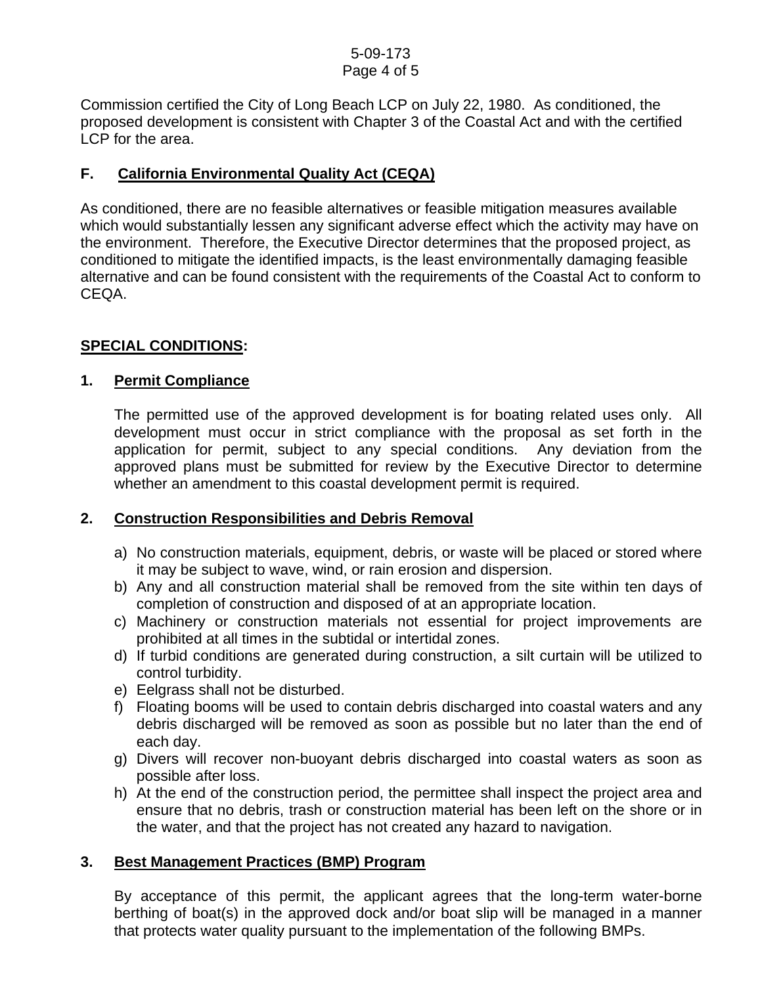Commission certified the City of Long Beach LCP on July 22, 1980. As conditioned, the proposed development is consistent with Chapter 3 of the Coastal Act and with the certified LCP for the area.

## **F. California Environmental Quality Act (CEQA)**

As conditioned, there are no feasible alternatives or feasible mitigation measures available which would substantially lessen any significant adverse effect which the activity may have on the environment. Therefore, the Executive Director determines that the proposed project, as conditioned to mitigate the identified impacts, is the least environmentally damaging feasible alternative and can be found consistent with the requirements of the Coastal Act to conform to CEQA.

## **SPECIAL CONDITIONS:**

### **1. Permit Compliance**

 The permitted use of the approved development is for boating related uses only. All development must occur in strict compliance with the proposal as set forth in the application for permit, subject to any special conditions. Any deviation from the approved plans must be submitted for review by the Executive Director to determine whether an amendment to this coastal development permit is required.

## **2. Construction Responsibilities and Debris Removal**

- a) No construction materials, equipment, debris, or waste will be placed or stored where it may be subject to wave, wind, or rain erosion and dispersion.
- b) Any and all construction material shall be removed from the site within ten days of completion of construction and disposed of at an appropriate location.
- c) Machinery or construction materials not essential for project improvements are prohibited at all times in the subtidal or intertidal zones.
- d) If turbid conditions are generated during construction, a silt curtain will be utilized to control turbidity.
- e) Eelgrass shall not be disturbed.
- f) Floating booms will be used to contain debris discharged into coastal waters and any debris discharged will be removed as soon as possible but no later than the end of each day.
- g) Divers will recover non-buoyant debris discharged into coastal waters as soon as possible after loss.
- h) At the end of the construction period, the permittee shall inspect the project area and ensure that no debris, trash or construction material has been left on the shore or in the water, and that the project has not created any hazard to navigation.

### **3. Best Management Practices (BMP) Program**

By acceptance of this permit, the applicant agrees that the long-term water-borne berthing of boat(s) in the approved dock and/or boat slip will be managed in a manner that protects water quality pursuant to the implementation of the following BMPs.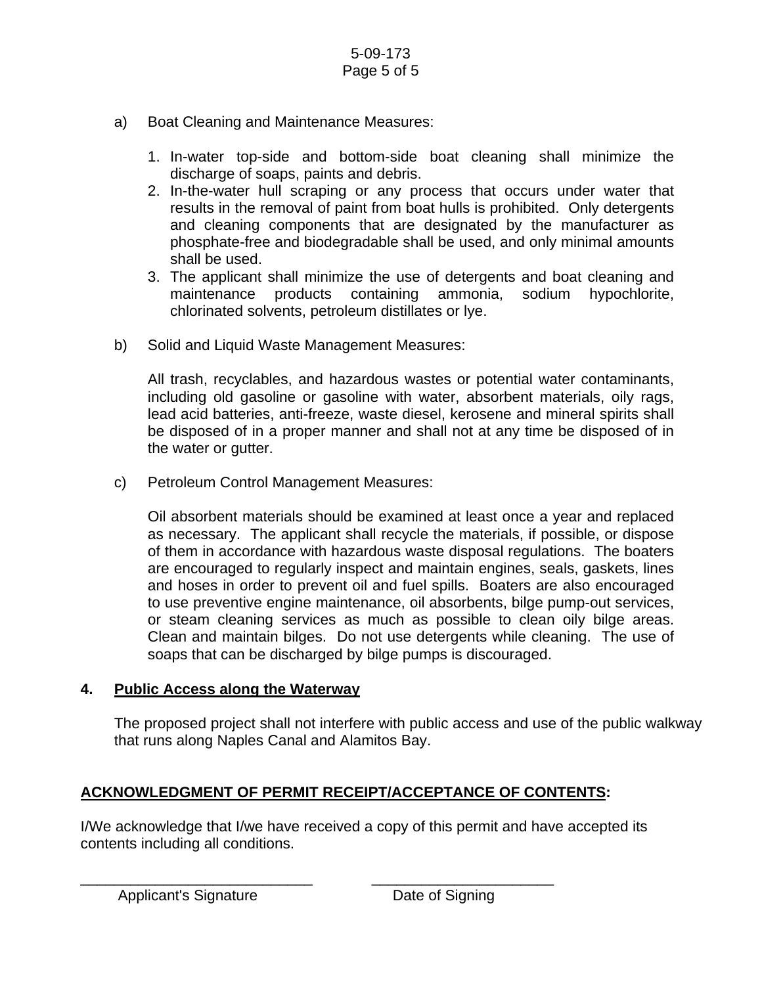- a) Boat Cleaning and Maintenance Measures:
	- 1. In-water top-side and bottom-side boat cleaning shall minimize the discharge of soaps, paints and debris.
	- 2. In-the-water hull scraping or any process that occurs under water that results in the removal of paint from boat hulls is prohibited. Only detergents and cleaning components that are designated by the manufacturer as phosphate-free and biodegradable shall be used, and only minimal amounts shall be used.
	- 3. The applicant shall minimize the use of detergents and boat cleaning and maintenance products containing ammonia, sodium hypochlorite, chlorinated solvents, petroleum distillates or lye.
- b) Solid and Liquid Waste Management Measures:

All trash, recyclables, and hazardous wastes or potential water contaminants, including old gasoline or gasoline with water, absorbent materials, oily rags, lead acid batteries, anti-freeze, waste diesel, kerosene and mineral spirits shall be disposed of in a proper manner and shall not at any time be disposed of in the water or gutter.

c) Petroleum Control Management Measures:

Oil absorbent materials should be examined at least once a year and replaced as necessary. The applicant shall recycle the materials, if possible, or dispose of them in accordance with hazardous waste disposal regulations. The boaters are encouraged to regularly inspect and maintain engines, seals, gaskets, lines and hoses in order to prevent oil and fuel spills. Boaters are also encouraged to use preventive engine maintenance, oil absorbents, bilge pump-out services, or steam cleaning services as much as possible to clean oily bilge areas. Clean and maintain bilges. Do not use detergents while cleaning. The use of soaps that can be discharged by bilge pumps is discouraged.

### **4. Public Access along the Waterway**

The proposed project shall not interfere with public access and use of the public walkway that runs along Naples Canal and Alamitos Bay.

## **ACKNOWLEDGMENT OF PERMIT RECEIPT/ACCEPTANCE OF CONTENTS:**

\_\_\_\_\_\_\_\_\_\_\_\_\_\_\_\_\_\_\_\_\_\_\_\_\_\_\_\_ \_\_\_\_\_\_\_\_\_\_\_\_\_\_\_\_\_\_\_\_\_\_

I/We acknowledge that I/we have received a copy of this permit and have accepted its contents including all conditions.

Applicant's Signature **Date of Signing**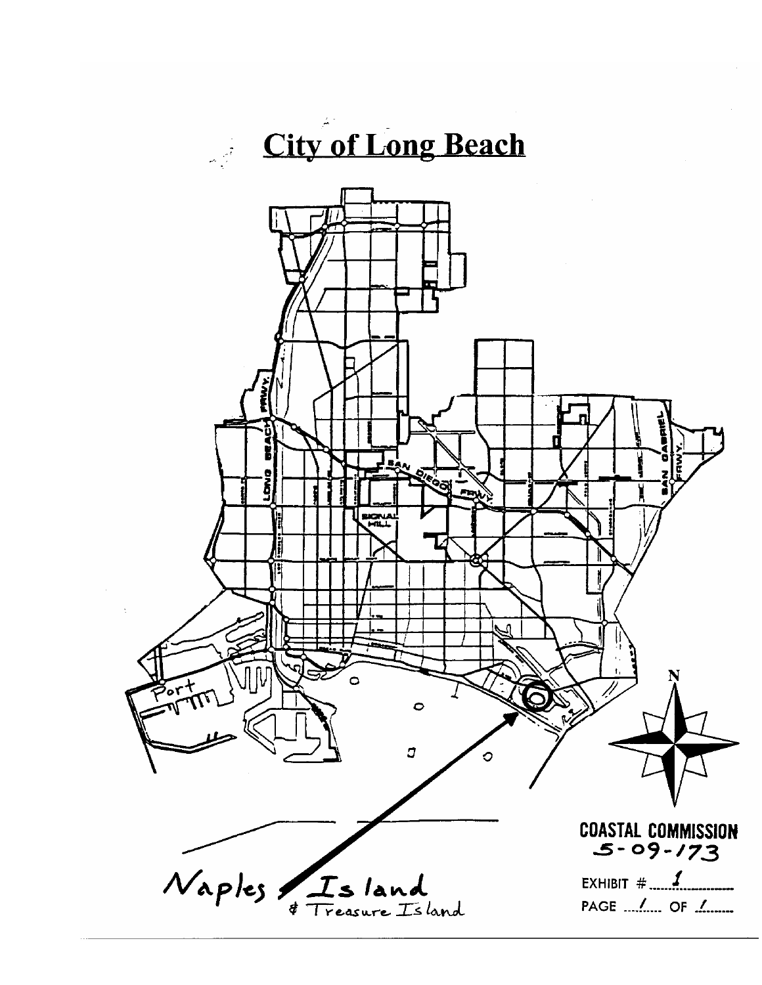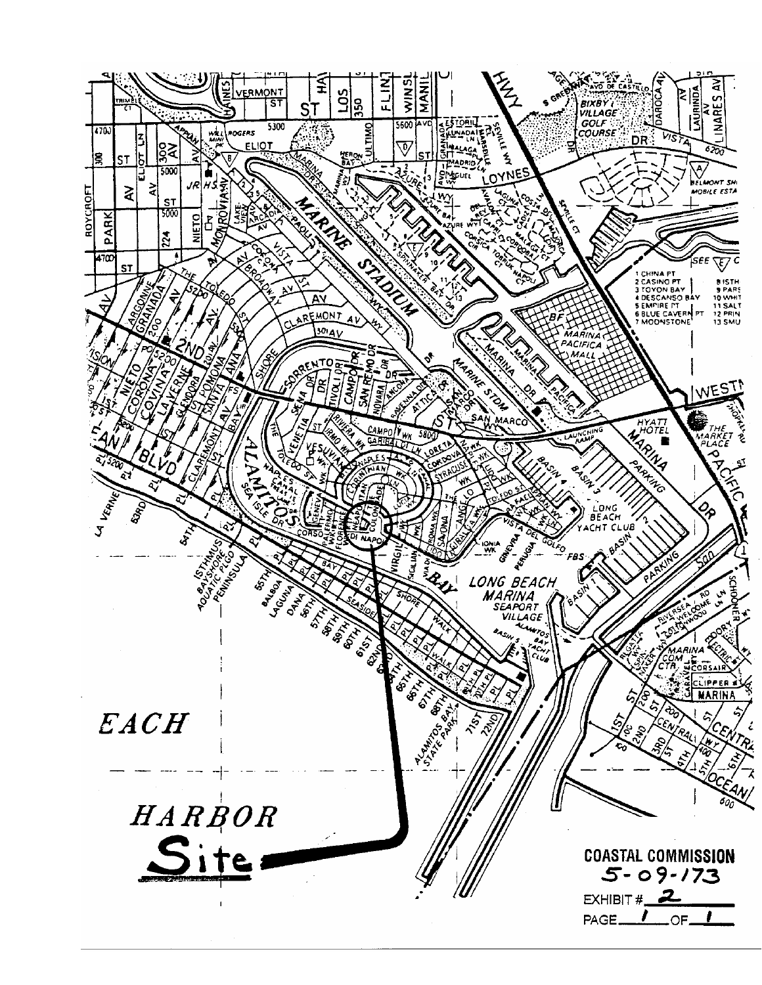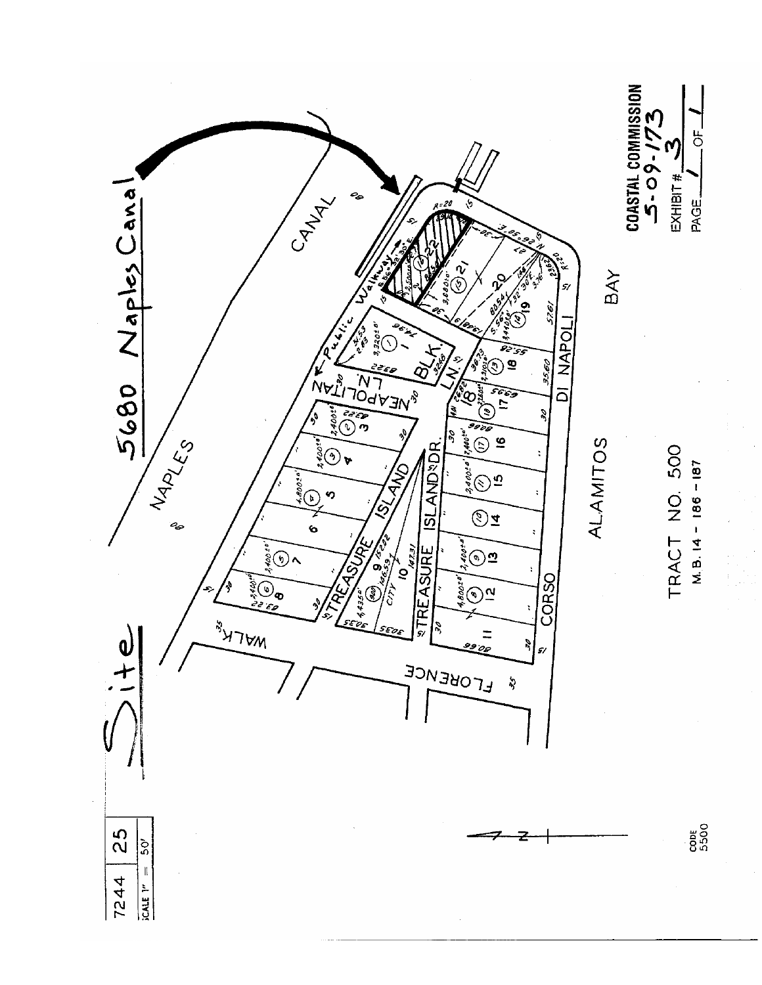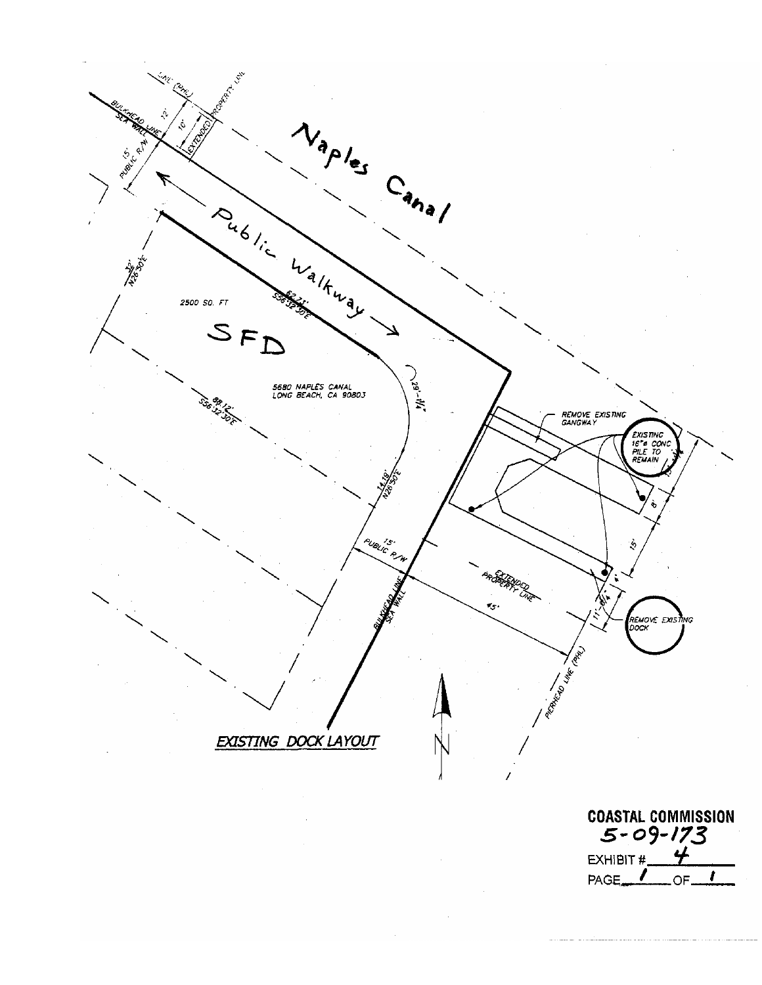